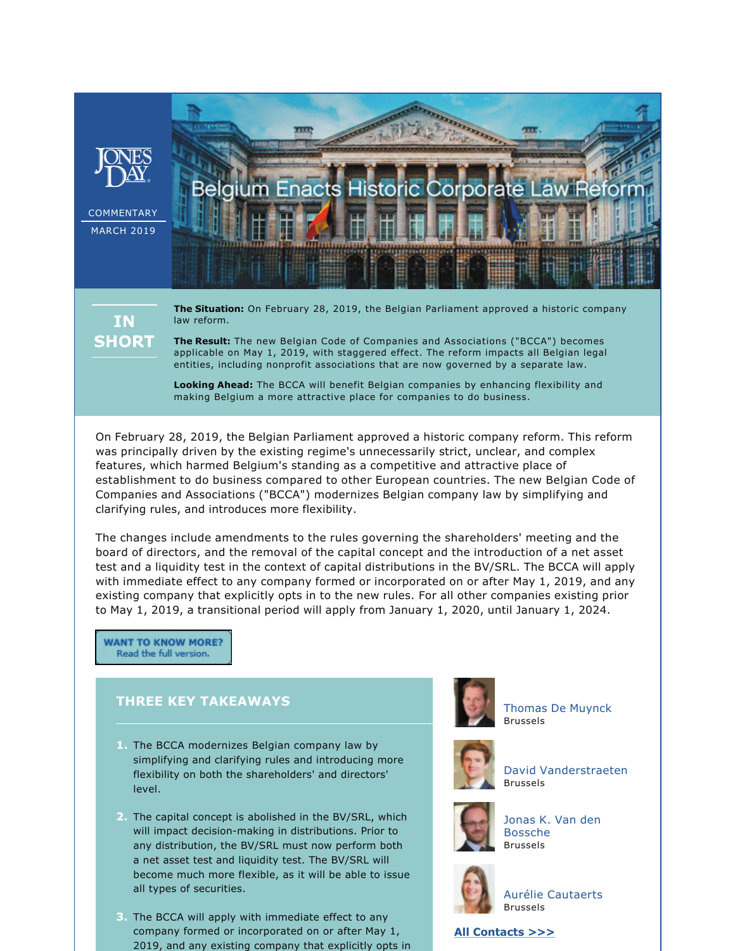

# **IN SHORT**

**The Situation:** On February 28, 2019, the Belgian Parliament approved a historic company law reform.

**The Result:** The new Belgian Code of Companies and Associations ("BCCA") becomes applicable on May 1, 2019, with staggered effect. The reform impacts all Belgian legal entities, including nonprofit associations that are now governed by a separate law.

**Looking Ahead:** The BCCA will benefit Belgian companies by enhancing flexibility and making Belgium a more attractive place for companies to do business.

On February 28, 2019, the Belgian Parliament approved a historic company reform. This reform was principally driven by the existing regime's unnecessarily strict, unclear, and complex features, which harmed Belgium's standing as a competitive and attractive place of establishment to do business compared to other European countries. The new Belgian Code of Companies and Associations ("BCCA") modernizes Belgian company law by simplifying and clarifying rules, and introduces more flexibility.

The changes include amendments to the rules governing the shareholders' meeting and the board of directors, and the removal of the capital concept and the introduction of a net asset test and a liquidity test in the context of capital distributions in the BV/SRL. The BCCA will apply with immediate effect to any company formed or incorporated on or after May 1, 2019, and any existing company that explicitly opts in to the new rules. For all other companies existing prior to May 1, 2019, a transitional period will apply from January 1, 2020, until January 1, 2024.

**WANT TO KNOW MORE?** Read the full version.

## **THREE KEY TAKEAWAYS**

- **1.** The BCCA modernizes Belgian company law by simplifying and clarifying rules and introducing more flexibility on both the shareholders' and directors' level.
- **2.** The capital concept is abolished in the BV/SRL, which will impact decision-making in distributions. Prior to any distribution, the BV/SRL must now perform both a net asset test and liquidity test. The BV/SRL will become much more flexible, as it will be able to issue all types of securities.
- **3.** The BCCA will apply with immediate effect to any company formed or incorporated on or after May 1, 2019, and any existing company that explicitly opts in



[Thomas De Muynck](https://www.jonesday.com/tdemuynck/) Brussels



[David Vanderstraeten](https://www.jonesday.com/dvanderstraeten/) Brussels



[Jonas K. Van den](https://www.jonesday.com/jvandenbossche/)  [Bossche](https://www.jonesday.com/jvandenbossche/) Brussels



[Aurélie Cautaerts](https://www.jonesday.com/acautaerts/) Brussels

### **[All Contacts >>>](https://jonesday-ecommunications.com/297/3529/downloads/belgium-enacts-contacts.pdf)**